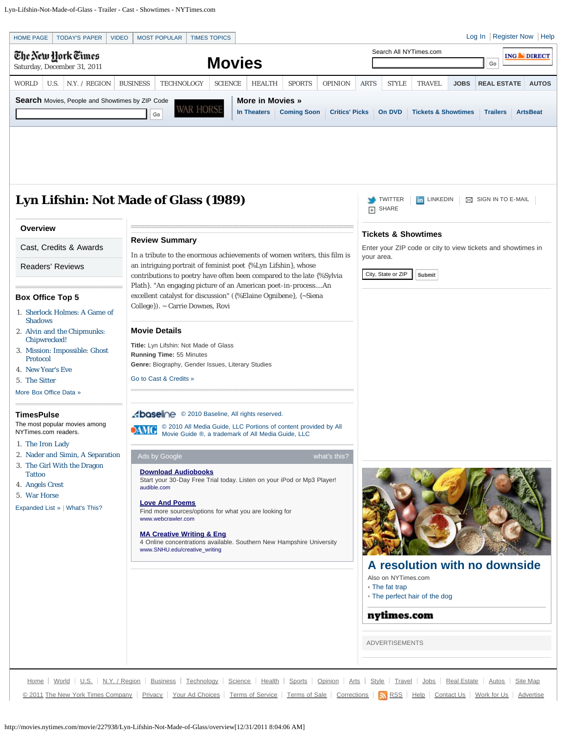<span id="page-0-0"></span>